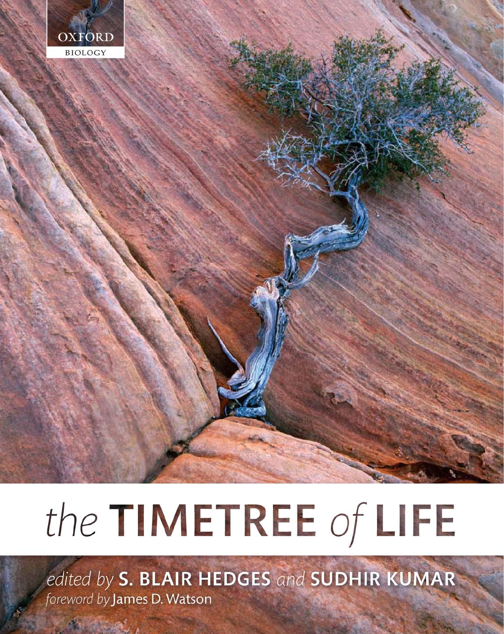

# the TIMETREE of LIFE

edited by S. BLAIR HEDGES and SUDHIR KUMAR foreword by James D. Watson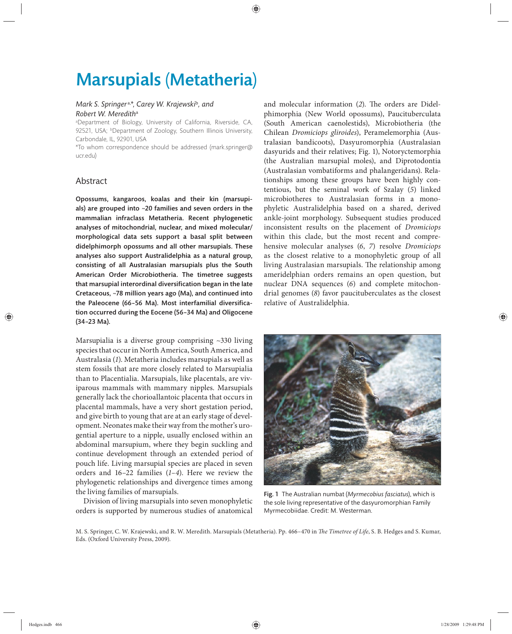# Marsupials (Metatheria)

## *Mark S. Springer* a,*\*, Carey W. Krajewski*<sup>b</sup>*, and Robert W. Meredith*<sup>a</sup>

a Department of Biology, University of California, Riverside, CA, 92521, USA; <sup>b</sup>Department of Zoology, Southern Illinois University, Carbondale, IL, 92901, USA

\*To whom correspondence should be addressed (mark.springer@ ucr.edu)

# Abstract

Opossums, kangaroos, koalas and their kin (marsupials) are grouped into ~20 families and seven orders in the mammalian infraclass Metatheria. Recent phylogenetic analyses of mitochondrial, nuclear, and mixed molecular/ morphological data sets support a basal split between didelphimorph opossums and all other marsupials. These analyses also support Australidelphia as a natural group, consisting of all Australasian marsupials plus the South American Order Microbiotheria. The timetree suggests that marsupial interordinal diversification began in the late Cretaceous, ~78 million years ago (Ma), and continued into the Paleocene (66-56 Ma). Most interfamilial diversification occurred during the Eocene (56–34 Ma) and Oligocene (34–23 Ma).

Marsupialia is a diverse group comprising ~330 living species that occur in North America, South America, and Australasia (*1*). Metatheria includes marsupials as well as stem fossils that are more closely related to Marsupialia than to Placentialia. Marsupials, like placentals, are viviparous mammals with mammary nipples. Marsupials generally lack the chorioallantoic placenta that occurs in placental mammals, have a very short gestation period, and give birth to young that are at an early stage of development. Neonates make their way from the mother's urogential aperture to a nipple, usually enclosed within an abdominal marsupium, where they begin suckling and continue development through an extended period of pouch life. Living marsupial species are placed in seven orders and 16–22 families (*1–4*). Here we review the phylogenetic relationships and divergence times among the living families of marsupials.

Division of living marsupials into seven monophyletic orders is supported by numerous studies of anatomical

and molecular information (2). The orders are Didelphimorphia (New World opossums), Paucituberculata (South American caenolestids), Microbiotheria (the Chilean *Dromiciops gliroides*), Peramelemorphia (Australasian bandicoots), Dasyuromorphia (Australasian dasyurids and their relatives; Fig. 1), Notoryctemorphia (the Australian marsupial moles), and Diprotodontia (Australasian vombatiforms and phalangeridans). Relationships among these groups have been highly contentious, but the seminal work of Szalay (*5*) linked microbiotheres to Australasian forms in a monophyletic Au stralidelphia based on a shared, derived ankle-joint morphology. Subsequent studies produced inconsistent results on the placement of *Dromiciops* within this clade, but the most recent and comprehensive molecular analyses (*6*, *7*) resolve *Dromiciops* as the closest relative to a monophyletic group of all living Australasian marsupials. The relationship among ameridelphian orders remains an open question, but nuclear DNA sequences (*6*) and complete mitochondrial genomes (*8*) favor paucituberculates as the closest relative of Australidelphia.



Fig. 1 The Australian numbat (*Myrmecobius fasciatus*), which is the sole living representative of the dasyuromorphian Family Myrmecobiidae. Credit: M. Westerman.

M. S. Springer, C. W. Krajewski, and R. W. Meredith. Marsupials (Metatheria). Pp. 466-470 in *The Timetree of Life*, S. B. Hedges and S. Kumar, Eds. (Oxford University Press, 2009).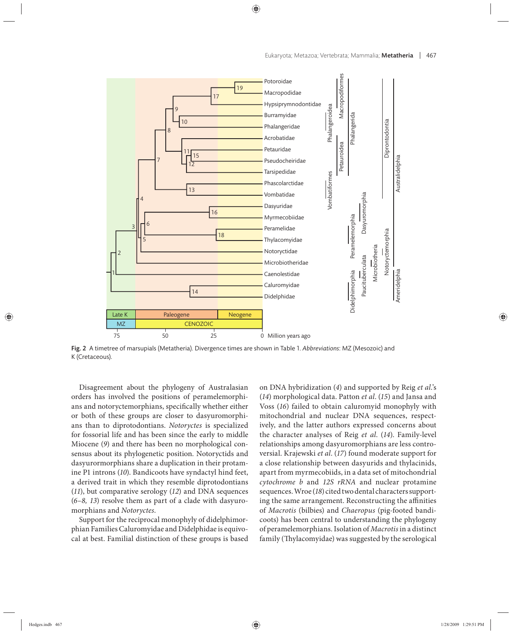

Fig. 2 A timetree of marsupials (Metatheria). Divergence times are shown in Table 1. *Abbreviations*: MZ (Mesozoic) and K (Cretaceous).

Disagreement about the phylogeny of Australasian orders has involved the positions of peramelemorphians and notoryctemorphians, specifically whether either or both of these groups are closer to dasyuromorphians than to diprotodontians. *Notoryctes* is specialized for fossorial life and has been since the early to middle Miocene (*9*) and there has been no morphological consensus about its phylogenetic position. Notoryctids and dasyurormorphians share a duplication in their protamine P1 introns (*10*). Bandicoots have syndactyl hind feet, a derived trait in which they resemble diprotodontians (*11*), but comparative serology (*12*) and DNA sequences (*6–8, 13*) resolve them as part of a clade with dasyuromorphians and *Notoryctes*.

Support for the reciprocal monophyly of didelphimorphian Families Caluromyidae and Didelphidae is equivocal at best. Familial distinction of these groups is based on DNA hybridization (*4*) and supported by Reig *et al*.'s (*14*) morphological data. Patton *et al*. (*15*) and Jansa and Voss (*16*) failed to obtain caluromyid monophyly with mitochondrial and nuclear DNA sequences, respectively, and the latter authors expressed concerns about the character analyses of Reig *et al*. (*14*). Family-level relationships among dasyuromorphians are less controversial. Krajewski *et al*. (*17*) found moderate support for a close relationship between dasyurids and thylacinids, apart from myrmecobiids, in a data set of mitochondrial *cytochrome b* and *12S rRNA* and nuclear protamine sequences. Wroe (*18*) cited two dental characters supporting the same arrangement. Reconstructing the affinities of *Macrotis* (bilbies) and *Chaeropus* (pig-footed bandicoots) has been central to understanding the phylogeny of peramelemorphians. Isolation of *Macrotis* in a distinct family (Thylacomyidae) was suggested by the serological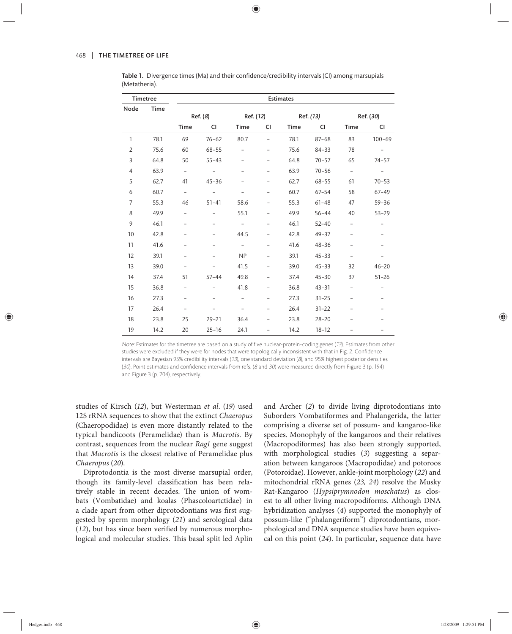| <b>Timetree</b> |             | <b>Estimates</b>         |           |                          |                |           |           |                   |            |
|-----------------|-------------|--------------------------|-----------|--------------------------|----------------|-----------|-----------|-------------------|------------|
| Node            | <b>Time</b> | Ref. (8)                 |           | Ref. (12)                |                | Ref. (13) |           | Ref. (30)         |            |
|                 |             | <b>Time</b>              | <b>CI</b> | <b>Time</b>              | CI             | Time      | <b>CI</b> | <b>Time</b>       | <b>CI</b>  |
| 1               | 78.1        | 69                       | $76 - 62$ | 80.7                     | $\overline{a}$ | 78.1      | $87 - 68$ | 83                | $100 - 69$ |
| $\overline{2}$  | 75.6        | 60                       | $68 - 55$ | $\overline{a}$           |                | 75.6      | $84 - 33$ | 78                |            |
| 3               | 64.8        | 50                       | $55 - 43$ |                          |                | 64.8      | $70 - 57$ | 65                | $74 - 57$  |
| 4               | 63.9        | $\overline{\phantom{0}}$ |           |                          |                | 63.9      | $70 - 56$ | $\bar{a}$         |            |
| 5               | 62.7        | 41                       | $45 - 36$ |                          |                | 62.7      | $68 - 55$ | 61                | $70 - 53$  |
| 6               | 60.7        | $\overline{\phantom{a}}$ |           |                          |                | 60.7      | $67 - 54$ | 58                | $67 - 49$  |
| $\overline{7}$  | 55.3        | 46                       | $51 - 41$ | 58.6                     |                | 55.3      | $61 - 48$ | 47                | $59 - 36$  |
| 8               | 49.9        | $\overline{\phantom{0}}$ |           | 55.1                     |                | 49.9      | $56 - 44$ | 40                | $53 - 29$  |
| 9               | 46.1        |                          |           |                          |                | 46.1      | $52 - 40$ | $\overline{a}$    |            |
| 10              | 42.8        |                          |           | 44.5                     |                | 42.8      | $49 - 37$ | $\qquad \qquad -$ |            |
| 11              | 41.6        |                          |           | $\overline{\phantom{a}}$ |                | 41.6      | $48 - 36$ |                   |            |
| 12              | 39.1        |                          |           | <b>NP</b>                |                | 39.1      | $45 - 33$ | $\overline{a}$    |            |
| 13              | 39.0        | $\overline{a}$           |           | 41.5                     |                | 39.0      | $45 - 33$ | 32                | $46 - 20$  |
| 14              | 37.4        | 51                       | $57 - 44$ | 49.8                     |                | 37.4      | $45 - 30$ | 37                | $51 - 26$  |
| 15              | 36.8        | $\overline{\phantom{0}}$ |           | 41.8                     |                | 36.8      | $43 - 31$ | $\overline{a}$    |            |
| 16              | 27.3        | $\overline{\phantom{0}}$ |           |                          |                | 27.3      | $31 - 25$ |                   |            |
| 17              | 26.4        |                          |           |                          |                | 26.4      | $31 - 22$ |                   |            |
| 18              | 23.8        | 25                       | $29 - 21$ | 36.4                     | Ξ.             | 23.8      | $28 - 20$ | $\qquad \qquad -$ |            |
| 19              | 14.2        | 20                       | $25 - 16$ | 24.1                     |                | 14.2      | $18 - 12$ |                   |            |

Table 1. Divergence times (Ma) and their confidence/credibility intervals (CI) among marsupials (Metatheria).

Note: Estimates for the timetree are based on a study of five nuclear-protein-coding genes (13). Estimates from other studies were excluded if they were for nodes that were topologically inconsistent with that in Fig. 2. Confidence intervals are Bayesian 95% credibility intervals (13), one standard deviation (8), and 95% highest posterior densities (30). Point estimates and confidence intervals from refs. (8 and 30) were measured directly from Figure 3 (p. 194) and Figure 3 (p. 704), respectively.

stu dies of Kirsch (*12*), but Westerman *et al*. (*19*) used 12S rRNA sequences to show that the extinct *Chaeropus* (Chaeropodidae) is even more distantly related to the typical bandicoots (Peramelidae) than is *Macrotis*. By contrast, sequences from the nuclear *Rag1* gene suggest that *Macrotis* is the closest relative of Peramelidae plus *Chaeropus* (*20*).

Diprotodontia is the most diverse marsupial order, though its family-level classification has been relatively stable in recent decades. The union of wombats (Vombatidae) and koalas (Phascoloartctidae) in a clade apart from other diprotodontians was first suggested by sperm morphology (*21*) and serological data  $(12)$ , but has since been verified by numerous morphological and molecular studies. This basal split led Aplin and Archer (*2*) to divide living diprotodontians into Suborders Vombatiformes and Phalangerida, the latter comprising a diverse set of possum- and kangaroo-like species. Monophyly of the kangaroos and their relatives (Macropodiformes) has also been strongly supported, with morphological studies (*3*) suggesting a separation between kangaroos (Macropodidae) and potoroos (Potoroidae). However, ankle-joint morphology (*22*) and mitochondrial rRNA genes (*23, 24*) resolve the Musky Rat-Kangaroo (*Hypsiprymnodon moschatus*) as closest to all other living macropodiforms. Although DNA hybridization analyses (*4*) supported the monophyly of possum-like ("phalangeriform") diprotodontians, morphological and DNA sequence studies have been equivocal on this point (*24*). In particular, sequence data have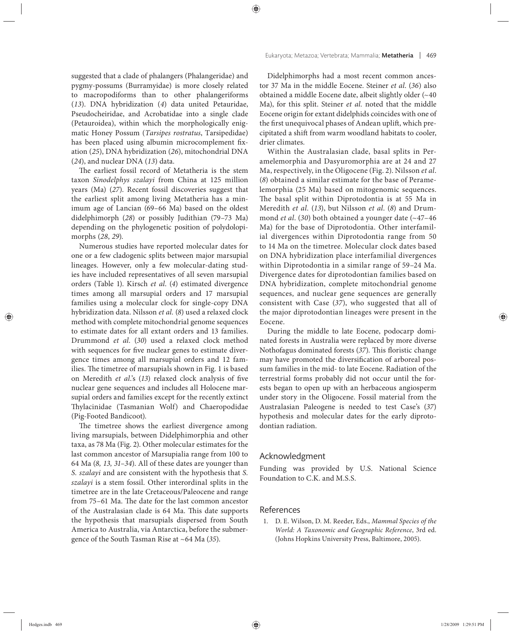suggested that a clade of phalangers (Phalangeridae) and pygmy-possums (Burramyidae) is more closely related to macropodiforms than to other phalangeriforms (*13*). DNA hybridization (*4*) data united Petauridae, Pseudocheiridae, and Acrobatidae into a single clade (Petauroidea), within which the morphologically enigmatic Honey Possum (*Tarsipes rostratus*, Tarsipedidae) has been placed using albumin microcomplement fixation (*25*), DNA hybridization (*26*), mitochondrial DNA (*24*), and nuclear DNA (*13*) data.

The earliest fossil record of Metatheria is the stem taxon *Sinodelphys szalayi* from China at 125 million years (Ma) (27). Recent fossil discoveries suggest that the earliest split among living Metatheria has a minimum age of Lancian (69–66 Ma) based on the oldest didelphimorph (*28*) or possibly Judithian (79–73 Ma) depending on the phylogenetic position of polydolopimorphs (*28*, *29*).

Numerous studies have reported molecular dates for one or a few cladogenic splits between major marsupial lineages. However, only a few molecular-dating studies have included representatives of all seven marsupial orders (Table 1). Kirsch *et al*. (*4*) estimated divergence times among all marsupial orders and 17 marsupial families using a molecular clock for single-copy DNA hybridization data. Nilsson *et al.* (*8*) used a relaxed clock method with complete mitochondrial genome sequences to estimate dates for all extant orders and 13 families. Drummond *et al*. (*30*) used a relaxed clock method with sequences for five nuclear genes to estimate divergence times among all marsupial orders and 12 families. The timetree of marsupials shown in Fig. 1 is based on Meredith *et al.*'s (13) relaxed clock analysis of five nuclear gene sequences and includes all Holocene marsupial orders and families except for the recently extinct Thylacinidae (Tasmanian Wolf) and Chaeropodidae (Pig-Footed Bandicoot).

The timetree shows the earliest divergence among living marsupials, between Didelphimorphia and other taxa, as 78 Ma (Fig. 2). Other molecular estimates for the last common ancestor of Marsupialia range from 100 to 64 Ma (*8, 13, 31–34*). All of these dates are younger than *S. szalayi* and are consistent with the hypothesis that *S. szalayi* is a stem fossil. Other interordinal splits in the timetree are in the late Cretaceous/Paleocene and range from 75-61 Ma. The date for the last common ancestor of the Australasian clade is 64 Ma. This date supports the hypothesis that marsupials dispersed from South America to Australia, via Antarctica, before the submergence of the South Tasman Rise at ~64 Ma (*35*).

Didelphimorphs had a most recent common ancestor 37 Ma in the middle Eocene. Steiner *et al*. (*36*) also obtained a middle Eocene date, albeit slightly older (~40 Ma), for this split. Steiner *et al.* noted that the middle Eocene origin for extant didelphids coincides with one of the first unequivocal phases of Andean uplift, which precipitated a shift from warm woodland habitats to cooler, drier climates.

Within the Australasian clade, basal splits in Peramelemorphia and Dasyuromorphia are at 24 and 27 Ma, respectively, in the Oligocene (Fig. 2). Nilsson *et al*. (*8*) obtained a similar estimate for the base of Peramelemorphia (25 Ma) based on mitogenomic sequences. The basal split within Diprotodontia is at 55 Ma in Meredith *et al.* (*13*), but Nilsson *et al*. (*8*) and Drummond *et al*. (*30*) both obtained a younger date (~47–46 Ma) for the base of Diprotodontia. Other interfamilial divergences within Diprotodontia range from 50 to 14 Ma on the timetree. Molecular clock dates based on DNA hybridization place interfamilial divergences within Diprotodontia in a similar range of 59–24 Ma. Divergence dates for diprotodontian families based on DNA hybridization, complete mitochondrial genome sequences, and nuclear gene sequences are generally consistent with Case (37), who suggested that all of the major diprotodontian lineages were present in the Eocene.

During the middle to late Eocene, podocarp dominated forests in Australia were replaced by more diverse Nothofagus dominated forests (37). This floristic change may have promoted the diversification of arboreal possum families in the mid- to late Eocene. Radiation of the terrestrial forms probably did not occur until the forests began to open up with an herbaceous angiosperm under story in the Oligocene. Fossil material from the Au stralasian Paleogene is needed to test Case's (*37*) hypothesis and molecular dates for the early diprotodontian radiation.

#### Acknowledgment

Funding was provided by U.S. National Science Foundation to C.K. and M.S.S.

## References

 1. D. E. Wilson, D. M. Reeder, Eds., *Mammal Species of the World: A Taxonomic and Geographic Reference*, 3rd ed. (Johns Hopkins University Press, Baltimore, 2005).